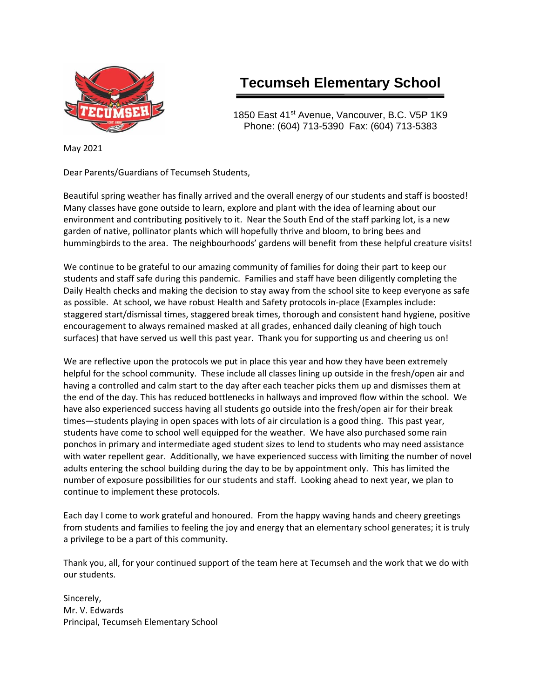

# **Tecumseh Elementary School**

1850 East 41<sup>st</sup> Avenue, Vancouver, B.C. V5P 1K9 Phone: (604) 713-5390 Fax: (604) 713-5383

May 2021

Dear Parents/Guardians of Tecumseh Students,

Beautiful spring weather has finally arrived and the overall energy of our students and staff is boosted! Many classes have gone outside to learn, explore and plant with the idea of learning about our environment and contributing positively to it. Near the South End of the staff parking lot, is a new garden of native, pollinator plants which will hopefully thrive and bloom, to bring bees and hummingbirds to the area. The neighbourhoods' gardens will benefit from these helpful creature visits!

We continue to be grateful to our amazing community of families for doing their part to keep our students and staff safe during this pandemic. Families and staff have been diligently completing the Daily Health checks and making the decision to stay away from the school site to keep everyone as safe as possible. At school, we have robust Health and Safety protocols in-place (Examples include: staggered start/dismissal times, staggered break times, thorough and consistent hand hygiene, positive encouragement to always remained masked at all grades, enhanced daily cleaning of high touch surfaces) that have served us well this past year. Thank you for supporting us and cheering us on!

We are reflective upon the protocols we put in place this year and how they have been extremely helpful for the school community. These include all classes lining up outside in the fresh/open air and having a controlled and calm start to the day after each teacher picks them up and dismisses them at the end of the day. This has reduced bottlenecks in hallways and improved flow within the school. We have also experienced success having all students go outside into the fresh/open air for their break times—students playing in open spaces with lots of air circulation is a good thing. This past year, students have come to school well equipped for the weather. We have also purchased some rain ponchos in primary and intermediate aged student sizes to lend to students who may need assistance with water repellent gear. Additionally, we have experienced success with limiting the number of novel adults entering the school building during the day to be by appointment only. This has limited the number of exposure possibilities for our students and staff. Looking ahead to next year, we plan to continue to implement these protocols.

Each day I come to work grateful and honoured. From the happy waving hands and cheery greetings from students and families to feeling the joy and energy that an elementary school generates; it is truly a privilege to be a part of this community.

Thank you, all, for your continued support of the team here at Tecumseh and the work that we do with our students.

Sincerely, Mr. V. Edwards Principal, Tecumseh Elementary School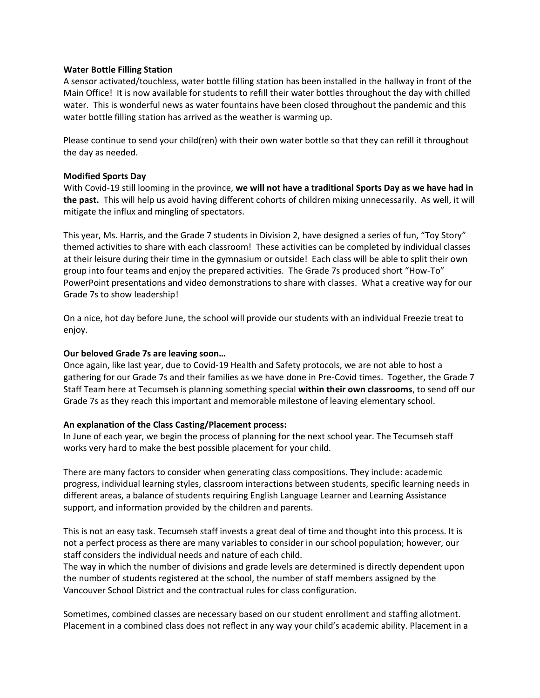#### **Water Bottle Filling Station**

A sensor activated/touchless, water bottle filling station has been installed in the hallway in front of the Main Office! It is now available for students to refill their water bottles throughout the day with chilled water. This is wonderful news as water fountains have been closed throughout the pandemic and this water bottle filling station has arrived as the weather is warming up.

Please continue to send your child(ren) with their own water bottle so that they can refill it throughout the day as needed.

#### **Modified Sports Day**

With Covid-19 still looming in the province, **we will not have a traditional Sports Day as we have had in the past.** This will help us avoid having different cohorts of children mixing unnecessarily. As well, it will mitigate the influx and mingling of spectators.

This year, Ms. Harris, and the Grade 7 students in Division 2, have designed a series of fun, "Toy Story" themed activities to share with each classroom! These activities can be completed by individual classes at their leisure during their time in the gymnasium or outside! Each class will be able to split their own group into four teams and enjoy the prepared activities. The Grade 7s produced short "How-To" PowerPoint presentations and video demonstrations to share with classes. What a creative way for our Grade 7s to show leadership!

On a nice, hot day before June, the school will provide our students with an individual Freezie treat to enjoy.

## **Our beloved Grade 7s are leaving soon…**

Once again, like last year, due to Covid-19 Health and Safety protocols, we are not able to host a gathering for our Grade 7s and their families as we have done in Pre-Covid times. Together, the Grade 7 Staff Team here at Tecumseh is planning something special **within their own classrooms**, to send off our Grade 7s as they reach this important and memorable milestone of leaving elementary school.

## **An explanation of the Class Casting/Placement process:**

In June of each year, we begin the process of planning for the next school year. The Tecumseh staff works very hard to make the best possible placement for your child.

There are many factors to consider when generating class compositions. They include: academic progress, individual learning styles, classroom interactions between students, specific learning needs in different areas, a balance of students requiring English Language Learner and Learning Assistance support, and information provided by the children and parents.

This is not an easy task. Tecumseh staff invests a great deal of time and thought into this process. It is not a perfect process as there are many variables to consider in our school population; however, our staff considers the individual needs and nature of each child.

The way in which the number of divisions and grade levels are determined is directly dependent upon the number of students registered at the school, the number of staff members assigned by the Vancouver School District and the contractual rules for class configuration.

Sometimes, combined classes are necessary based on our student enrollment and staffing allotment. Placement in a combined class does not reflect in any way your child's academic ability. Placement in a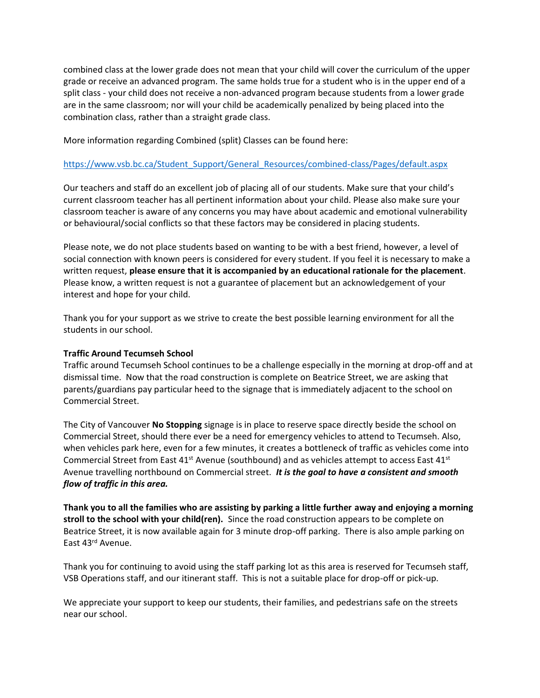combined class at the lower grade does not mean that your child will cover the curriculum of the upper grade or receive an advanced program. The same holds true for a student who is in the upper end of a split class - your child does not receive a non-advanced program because students from a lower grade are in the same classroom; nor will your child be academically penalized by being placed into the combination class, rather than a straight grade class.

More information regarding Combined (split) Classes can be found here:

#### [https://www.vsb.bc.ca/Student\\_Support/General\\_Resources/combined-class/Pages/default.aspx](https://www.vsb.bc.ca/Student_Support/General_Resources/combined-class/Pages/default.aspx)

Our teachers and staff do an excellent job of placing all of our students. Make sure that your child's current classroom teacher has all pertinent information about your child. Please also make sure your classroom teacher is aware of any concerns you may have about academic and emotional vulnerability or behavioural/social conflicts so that these factors may be considered in placing students.

Please note, we do not place students based on wanting to be with a best friend, however, a level of social connection with known peers is considered for every student. If you feel it is necessary to make a written request, **please ensure that it is accompanied by an educational rationale for the placement**. Please know, a written request is not a guarantee of placement but an acknowledgement of your interest and hope for your child.

Thank you for your support as we strive to create the best possible learning environment for all the students in our school.

#### **Traffic Around Tecumseh School**

Traffic around Tecumseh School continues to be a challenge especially in the morning at drop-off and at dismissal time. Now that the road construction is complete on Beatrice Street, we are asking that parents/guardians pay particular heed to the signage that is immediately adjacent to the school on Commercial Street.

The City of Vancouver **No Stopping** signage is in place to reserve space directly beside the school on Commercial Street, should there ever be a need for emergency vehicles to attend to Tecumseh. Also, when vehicles park here, even for a few minutes, it creates a bottleneck of traffic as vehicles come into Commercial Street from East  $41^{st}$  Avenue (southbound) and as vehicles attempt to access East  $41^{st}$ Avenue travelling northbound on Commercial street. *It is the goal to have a consistent and smooth flow of traffic in this area.*

**Thank you to all the families who are assisting by parking a little further away and enjoying a morning stroll to the school with your child(ren).** Since the road construction appears to be complete on Beatrice Street, it is now available again for 3 minute drop-off parking. There is also ample parking on East 43rd Avenue.

Thank you for continuing to avoid using the staff parking lot as this area is reserved for Tecumseh staff, VSB Operations staff, and our itinerant staff. This is not a suitable place for drop-off or pick-up.

We appreciate your support to keep our students, their families, and pedestrians safe on the streets near our school.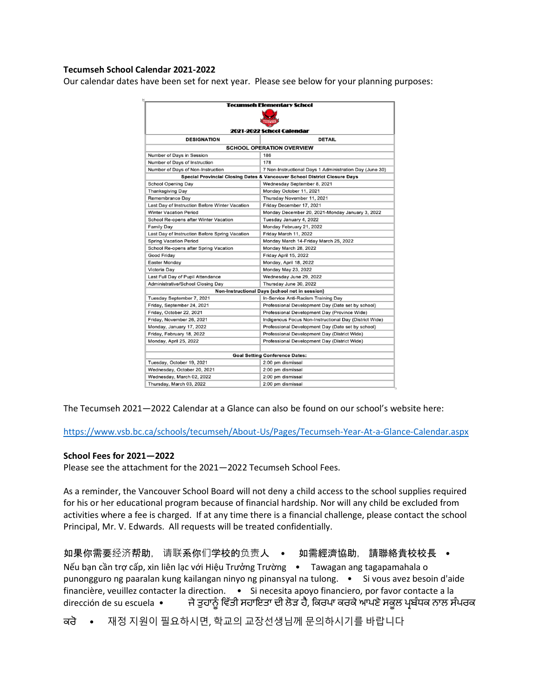#### **Tecumseh School Calendar 2021-2022**

Our calendar dates have been set for next year. Please see below for your planning purposes:

|                                                | <b>Tecumseh Elementary School</b>                                         |  |
|------------------------------------------------|---------------------------------------------------------------------------|--|
| 2021-2022 School Calendar                      |                                                                           |  |
|                                                |                                                                           |  |
|                                                | <b>SCHOOL OPERATION OVERVIEW</b>                                          |  |
| Number of Days in Session                      | 186                                                                       |  |
| Number of Days of Instruction                  | 178                                                                       |  |
| Number of Days of Non-Instruction              | 7 Non-Instructional Days 1 Administration Day (June 30)                   |  |
|                                                | Special Provincial Closing Dates & Vancouver School District Closure Days |  |
| <b>School Opening Day</b>                      | Wednesday September 8, 2021                                               |  |
| <b>Thanksgiving Day</b>                        | Monday October 11, 2021                                                   |  |
| Remembrance Day                                | Thursday November 11, 2021                                                |  |
| Last Day of Instruction Before Winter Vacation | Friday December 17, 2021                                                  |  |
| <b>Winter Vacation Period</b>                  | Monday December 20, 2021-Monday January 3, 2022                           |  |
| School Re-opens after Winter Vacation          | Tuesday January 4, 2022                                                   |  |
| <b>Family Day</b>                              | Monday February 21, 2022                                                  |  |
| Last Day of Instruction Before Spring Vacation | Friday March 11, 2022                                                     |  |
| <b>Spring Vacation Period</b>                  | Monday March 14-Friday March 25, 2022                                     |  |
| School Re-opens after Spring Vacation          | Monday March 28, 2022                                                     |  |
| Good Friday                                    | Friday April 15, 2022                                                     |  |
| Easter Monday                                  | Monday, April 18, 2022                                                    |  |
| Victoria Dav                                   | <b>Monday May 23, 2022</b>                                                |  |
| Last Full Day of Pupil Attendance              | Wednesday June 29, 2022                                                   |  |
| <b>Administrative/School Closing Day</b>       | Thursday June 30, 2022                                                    |  |
|                                                | Non-Instructional Days (school not in session)                            |  |
| Tuesday September 7, 2021                      | In-Service Anti-Racism Training Day                                       |  |
| Friday, September 24, 2021                     | Professional Development Day (Date set by school)                         |  |
| Friday, October 22, 2021                       | Professional Development Day (Province Wide)                              |  |
| Friday, November 26, 2021                      | Indigenous Focus Non-Instructional Day (District Wide)                    |  |
| Monday, January 17, 2022                       | Professional Development Day (Date set by school)                         |  |
| Friday, February 18, 2022                      | Professional Development Day (District Wide)                              |  |
| Monday, April 25, 2022                         | Professional Development Day (District Wide)                              |  |
|                                                |                                                                           |  |
|                                                | <b>Goal Setting Conference Dates:</b>                                     |  |
| Tuesday, October 19, 2021                      | 2:00 pm dismissal                                                         |  |
| Wednesday, October 20, 2021                    | 2:00 pm dismissal                                                         |  |
| Wednesday, March 02, 2022                      | 2:00 pm dismissal                                                         |  |
| Thursday, March 03, 2022                       | 2:00 pm dismissal                                                         |  |

The Tecumseh 2021—2022 Calendar at a Glance can also be found on our school's website here:

<https://www.vsb.bc.ca/schools/tecumseh/About-Us/Pages/Tecumseh-Year-At-a-Glance-Calendar.aspx>

#### **School Fees for 2021—2022**

Please see the attachment for the 2021—2022 Tecumseh School Fees.

As a reminder, the Vancouver School Board will not deny a child access to the school supplies required for his or her educational program because of financial hardship. Nor will any child be excluded from activities where a fee is charged. If at any time there is a financial challenge, please contact the school Principal, Mr. V. Edwards. All requests will be treated confidentially.

如果你需要经济帮助, 请联系你们学校的负责人 • 如需經濟協助, 請聯絡貴校校長 • Nếu bạn cần trợ cấp, xin liên lạc với Hiệu Trưởng Trường · Tawagan ang tagapamahala o punongguro ng paaralan kung kailangan ninyo ng pinansyal na tulong. • Si vous avez besoin d'aide financière, veuillez contacter la direction. · Si necesita apoyo financiero, por favor contacte a la dirección de su escuela • ਜੇਤੁਹਾਨੂੰ ਵਿੱਤੀ ਸਹਾਇਤਾ ਦੀ ਲੋੜ ਹੈ, ਕਿਰਪਾ ਕਰਕੇ ਆਪਣੇ ਸਕੂਲ ਪ੍ਰਬੰਧਕ ਨਾਲ ਸੰਪਰਕ

ਿਰੋ • 재정 지원이 필요하시면, 학교의 교장선생님께 문의하시기를 바랍니다